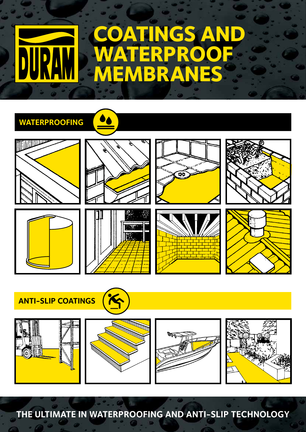# **ATINGS A WATERPROOF MEMBRANES**

### **WATERPROOFING**















**ANTI-SLIP COATINGS**



**THE ULTIMATE IN WATERPROOFING AND ANTI-SLIP TECHNOLOGY**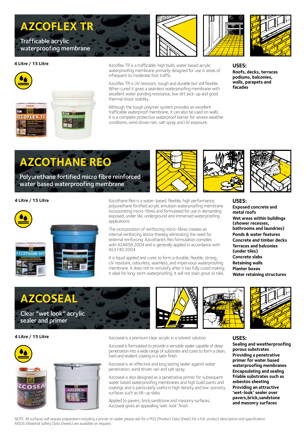# **AZCOFLEX TR**

Trafficable acrylic waterproofing membrane

#### **4 Litre / 15 Litre**



Azcoflex TR is a trafficable, high build, water based acrylic waterproofing membrane primarily designed for use in areas of infrequent to moderate foot traffic.

Azcoflex TR is UV resistant, tough and durable but still flexible. When cured it gives a seamless waterproofing membrane with excellent water ponding resistance, low dirt pick-up and good thermal shock stability.

Although the tough polymer system provides an excellent trafficable waterproof membrane, it can also be used on walls. It is a complete protective waterproof barrier for severe weather conditions, wind driven rain, salt spray and UV exposure.



**USES: Roofs, decks, terraces podiums, balconies, walls, parapets and facades**

# **AZCOTHANE REO**

Polyurethane fortified micro fibre reinforced water based waterproofing membrane

#### **4 Litre / 15 Litre**



Azcothane Reo is a water-based, flexible, high performance, polyurethane fortified acrylic emulsion waterproofing membrane incorporating micro-fibres and formulated for use in demanding exposed, under tile, underground and immersed waterproofing applications.

The incorporation of reinforcing micro-fibres creates an internal reinforcing lattice thereby eliminating the need for external reinforcing. Azcothane's Reo formulation complies with AS4858:2004 and is generally applied in accordance with AS3740:2004.

It is liquid applied and cures to form a durable, flexible, strong, UV resistant, odourless, seamless, and impervious waterproofing membrane. It does not re-emulsify after it has fully cured making it ideal for long-term waterproofing. It will not stain grout or tiles.

#### **USES:**

**Exposed concrete and metal roofs Wet areas within buildings (shower recesses, bathrooms and laundries) Ponds & water features Concrete and timber decks Terraces and balconies (under tiles) Concrete slabs Retaining walls Planter boxes Water retaining structures**



#### **4 Litre / 15 Litre**



Azcoseal is a premium clear acrylic in a solvent solution.

Azcoseal is formulated to provide a versatile sealer capable of deep penetration into a wide range of substrate and cures to form a clean, hard and resilient coating in a satin finish.

Azcoseal is an effective and long lasting sealer against water penetration, wind driven rain and salt spray.

Azcoseal is also designed as a penetrative primer for subsequent water based waterproofing membranes and high build paints and coatings and is particularly useful in high density and low-porosity surfaces such as tilt-up slabs.

Applied to pavers, brick,sandstone and masonry surfaces, Azcoseal gives an appealling 'wet-look' finish.





#### **USES:**

**Sealing and weatherproofing porous substrates Providing a penetrative primer for water based waterproofing membranes Encapsulating and sealing friable substrates such as asbestos sheeting Providing an attractive 'wet-look' sealer over pavers,brick,sandstone and masonry surfaces**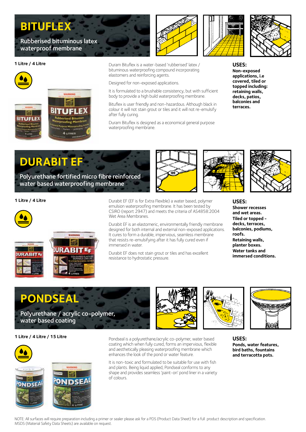## **BITUFLEX**

Rubberised bituminous latex waterproof membrane

#### **1 Litre / 4 Litre**



Duram Bituflex is a water-based 'rubberised' latex / bituminous waterproofing compound incorporating elastomers and reinforcing agents.

Designed for non-exposed applications.

It is formulated to a brushable consistency, but with sufficient body to provide a high build waterproofing membrane.

Bituflex is user friendly and non-hazardous. Although black in colour it will not stain grout or tiles and it will not re-emulsify after fully curing.

Duram Bituflex is designed as a economical general purpose waterproofing membrane.





**USES: Non-exposed applications, i.e covered, tiled or topped including: retaining walls, decks, patios, balconies and terraces.**

### **DURABIT EF**

Polyurethane fortified micro fibre reinforced water based waterproofing membrane

#### **1 Litre / 4 Litre**





Durabit EF (EF is for Extra Flexible) a water based, polymer emulsion waterproofing membrane. It has been tested by CSIRO (report 2947) and meets the criteria of AS4858:2004 Wet Area Membranes.

Durabit EF is an elastomeric, environmentally friendly membrane designed for both internal and external non-exposed applications. It cures to form a durable, impervious, seamless membrane that resists re-emulsifying after it has fully cured even if immersed in water.

Durabit EF does not stain grout or tiles and has excellent resistance to hydrostatic pressure.



**USES: Shower recesses and wet areas. Tiled or topped decks, terraces, balconies, podiums, roofs. Retaining walls, planter boxes. Water tanks and immersed conditions.**

### **PONDSEAL**

Polyurethane / acrylic co-polymer, water based coating

#### **1 Litre / 4 Litre / 15 Litre**





Pondseal is a polyurethane/acrylic co-polymer, water based coating which when fully cured, forms an impervious, flexible and aesthetically pleasing waterproofing membrane which enhances the look of the pond or water feature.

It is non-toxic and formulated to be suitable for use with fish and plants. Being liquid applied, Pondseal conforms to any shape and provides seamless 'paint-on' pond liner in a variety of colours.





**USES: Ponds, water features, bird baths, fountains and terracotta pots.**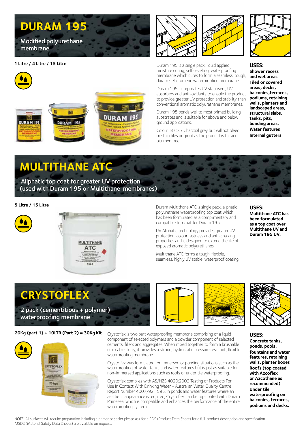### **DURAM 195**

Modified polyurethane membrane

#### **1 Litre / 4 Litre / 15 Litre**







Duram 195 is a single pack, liquid applied, moisture curing, self-levelling, waterproofing membrane which cures to form a seamless, tough, durable, elastomeric waterproofing membrane.

Duram 195 incorporates UV stabilisers, UV absorbers and anti-oxidants to enable the product to provide greater UV protection and stability than conventional aromatic polyurethane membranes.

Duram 195 bonds well to most primed building substrates and is suitable for above and below ground applications.

Colour: Black / Charcoal grey but will not bleed or stain tiles or grout as the product is tar and bitumen free.



**USES: Shower recess and wet areas Tiled or covered areas, decks, balconies,terraces, podiums, retaining walls, planters and landscaped areas, structural slabs, tanks, pits, bunding areas. Water features Internal gutters**

# **MULTITHANE ATC**

 Aliphatic top coat for greater UV protection (used with Duram 195 or Multithane membranes)

#### **5 Litre / 15 Litre**





Duram Multithane ATC is single pack, aliphatic polyurethane waterproofing top coat which has been formulated as a complimentary and compatible top coat for Duram 195.

UV Aliphatic technology provides greater UV protection, colour fastness and anti-chalking properties and is designed to extend the life of exposed aromatic polyurethanes.

Multithane ATC forms a tough, flexible, seamless, highly UV stable, waterproof coating

#### **USES:**

**Multithane ATC has been formulated as a top coat over Multithane UV and Duram 195 UV.**

**CRYSTOFLEX** 

2 pack (cementitious + polymer) waterproofing membrane

**20Kg (part 1) + 10LTR (Part 2) = 30Kg Kit**



Crystoflex is two part waterproofing membrane comprising of a liquid component of selected polymers and a powder component of selected cements, fillers and aggregates. When mixed together to form a brushable or rollable slurry, it provides a strong, hydrostatic pressure resistant, flexible waterproofing membrane.

Crystoflex was formulated for immersed or ponding situations such as the waterproofing of water tanks and water features but is just as suitable for non-immersed applications such as roofs or under tile waterproofing.

Crystoflex complies with AS/NZS 4020:2002 Testing of Products For Use In Contact With Drinking Water - Australian Water Quality Centre Report Number 4007/92.1595. In ponds and water features where an aesthetic appearance is required, Crystoflex can be top coated with Duram Primeseal which is compatible and enhances the performance of the entire waterproofing system.



#### **USES:**

**Concrete tanks, ponds, pools, fountains and water features, retaining walls, planter boxes Roofs (top coated with Azcoflex or Azcothane as recommended) Under tile waterproofing on balconies, terraces, podiums and decks.**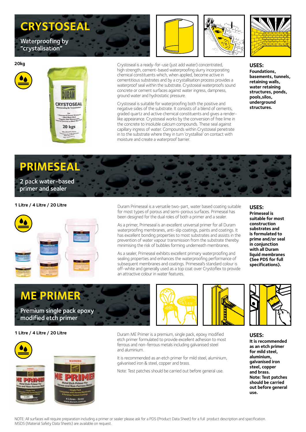# **CRYSTOSEAL**

Waterproofing by "crystalisation"



Crystoseal is a ready-for-use (just add water) concentrated,

high strength, cement-based waterproofing slurry incorporating chemical constituents which, when applied, become active in cementitious substrates and by a crystallisation process provides a waterproof seal within the substrate. Crystoseal waterproofs sound concrete or cement surfaces against water ingress, dampness, ground water and hydrostatic pressure.

Crystoseal is suitable for waterproofing both the positive and negative sides of the substrate. It consists of a blend of cements, graded quartz and active chemical constituents and gives a renderlike appearance. Crystoseal works by the conversion of free lime in the concrete to insoluble calcium compounds. These seal against capillary ingress of water. Compounds within Crystoseal penetrate in to the substrate where they in turn 'crystallise' on contact with moisture and create a waterproof barrier.



**USES: Foundations, basements, tunnels, retaining walls, water retaining structures, ponds, pools,silos, underground structures.**

# **PRIMESEAL**

#### 2 pack water-based primer and sealer

#### **1 Litre / 4 Litre / 20 Litre**



Duram Primeseal is a versatile two-part, water based coating suitable for most types of porous and semi-porous surfaces. Primeseal has been designed for the dual roles of both a primer and a sealer.

As a primer, Primeseal is an excellent universal primer for all Duram waterproofing membranes, anti-slip coatings, paints and coatings. It has excellent bonding properties to most substrates and assists in the prevention of water vapour transmission from the substrate thereby minimising the risk of bubbles forming underneath membranes.

As a sealer, Primeseal exhibits excellent primary waterproofing and sealing properties and enhances the waterproofing performance of subsequent membranes and coatings. Primeseal's standard colour is off-white and generally used as a top coat over Crystoflex to provide an attractive colour in water features.

#### **USES:**

**Primeseal is suitable for most construction substrates and is formulated to prime and/or seal in conjunction with all Duram liquid membranes (See PDS for full specifications).**

**ME PRIMER**  Premium single pack epoxy modified etch primer

#### **1 Litre / 4 Litre / 20 Litre**



Duram ME Primer is a premium, single pack, epoxy modified etch primer formulated to provide excellent adhesion to most ferrous and non-ferrous metals including galvanised steel and aluminium.

It is recommended as an etch primer for mild steel, aluminium, galvanised iron & steel, copper and brass.

Note: Test patches should be carried out before general use.



#### **USES:**

**It is recommended as an etch primer for mild steel, aluminium, galvanised iron steel, copper and brass. Note: Test patches should be carried out before general use.**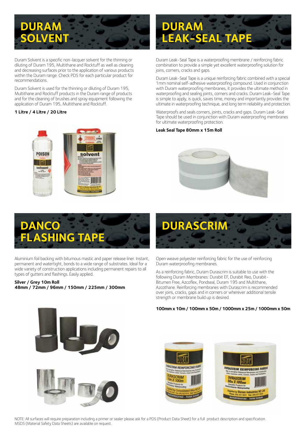# **DURAM OLVEI**

Duram Solvent is a specific non-lacquer solvent for the thinning or diluting of Duram 195, Multithane and Rocktuff as well as cleaning and decreasing surfaces prior to the application of various products within the Duram range. Check PDS for each particular product for recommendations.

Duram Solvent is used for the thinning or diluting of Duram 195, Multithane and Rocktuff products in the Duram range of products and for the cleaning of brushes and spray equipment following the application of Duram 195, Multithane and Rocktuff.

#### **1 Litre / 4 Litre / 20 Litre**



Duram Leak-Seal Tape is a waterproofing membrane / reinforcing fabric combination to provide a simple yet excellent waterproofing solution for joins, corners, cracks and gaps.

Duram Leak-Seal Tape is a unique reinforcing fabric combined with a special 1mm nominal self-adhesive waterproofing compound. Used in conjunction with Duram waterproofing membranes, it provides the ultimate method in waterproofing and sealing joints, corners and cracks. Duram Leak-Seal Tape is simple to apply, is quick, saves time, money and importantly provides the ultimate in waterproofing technique, and long term reliability and protection.

Waterproofs and seals corners, joints, cracks and gaps. Duram Leak-Seal Tape should be used in conjunction with Duram waterproofing membranes for ultimate waterproofing protection.

#### **Leak Seal Tape 80mm x 15m Roll**





Aluminium foil backing with bitumous mastic and paper release liner. Instant, permanent and watertight, bonds to a wide range of substrates. Ideal for a wide variety of construction applications including permanent repairs to all types of gutters and flashings. Easily applied.

#### **Silver / Grey 10m Roll 48mm / 72mm / 96mm / 150mm / 225mm / 300mm**





Open weave polyester reinforcing fabric for the use of reinforcing Duram waterproofing membranes.

As a reinforcing fabric, Duram Durascrim is suitable to use with the following Duram Membranes: Durabit EF, Durabit Reo, Durabit-Bitumen Free, Azcoflex, Pondseal, Duram 195 and Multithane, Azcothane. Reinforcing membranes with Durascrim is recommended over joins, cracks, gaps and in corners or wherever additional tensile strength or membrane build up is desired.

**100mm x 10m / 100mm x 50m / 1000mm x 25m / 1000mm x 50m**



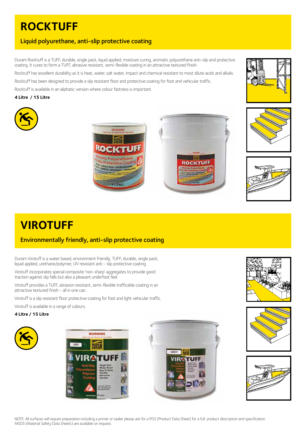### **ROCKTUFF**

### Liquid polyurethane, anti-slip protective coating

Duram Rocktuff is a TUFF, durable, single pack, liquid applied, moisture curing, aromatic polyurethane anti-slip and protective coating. It cures to form a TUFF, abrasive resistant, semi-flexible coating in an attractive textured finish.

Rocktuff has excellent durability as it is heat, water, salt water, impact and chemical resistant to most dilute acids and alkalis. Rocktuff has been designed to provide a slip resistant floor and protective coating for foot and vehicular traffic.

Rocktuff is available in an aliphatic version where colour fastness is important.

#### **4 Litre / 15 Litre**











### **VIROTUFF**

### Environmentally friendly, anti-slip protective coating

Duram Virotuff is a water based, environment friendly, TUFF, durable, single pack, liquid applied, urethane/polymer, UV resistant anti - slip protective coating.

Virotuff incorporates special composite 'non-sharp' aggregates to provide good traction against slip falls but also a pleasant underfoot feel.

Virotuff provides a TUFF, abrasion resistant, semi-flexible trafficable coating in an attractive textured finish - all in one can.

Virotuff is a slip resistant floor protective coating for foot and light vehicular traffic.

Virotuff is available in a range of colours.

#### **4 Litre / 15 Litre**